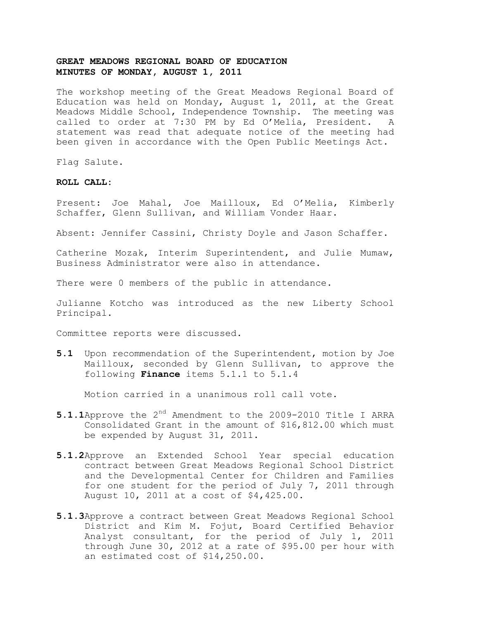## **GREAT MEADOWS REGIONAL BOARD OF EDUCATION MINUTES OF MONDAY, AUGUST 1, 2011**

The workshop meeting of the Great Meadows Regional Board of Education was held on Monday, August 1, 2011, at the Great Meadows Middle School, Independence Township. The meeting was called to order at 7:30 PM by Ed O'Melia, President. A statement was read that adequate notice of the meeting had been given in accordance with the Open Public Meetings Act.

Flag Salute.

## **ROLL CALL:**

Present: Joe Mahal, Joe Mailloux, Ed O'Melia, Kimberly Schaffer, Glenn Sullivan, and William Vonder Haar.

Absent: Jennifer Cassini, Christy Doyle and Jason Schaffer.

Catherine Mozak, Interim Superintendent, and Julie Mumaw, Business Administrator were also in attendance.

There were 0 members of the public in attendance.

Julianne Kotcho was introduced as the new Liberty School Principal.

Committee reports were discussed.

**5.1** Upon recommendation of the Superintendent, motion by Joe Mailloux, seconded by Glenn Sullivan, to approve the following **Finance** items 5.1.1 to 5.1.4

Motion carried in a unanimous roll call vote.

- **5.1.1**Approve the 2nd Amendment to the 2009-2010 Title I ARRA Consolidated Grant in the amount of \$16,812.00 which must be expended by August 31, 2011.
- **5.1.2**Approve an Extended School Year special education contract between Great Meadows Regional School District and the Developmental Center for Children and Families for one student for the period of July 7, 2011 through August 10, 2011 at a cost of \$4,425.00.
- **5.1.3**Approve a contract between Great Meadows Regional School District and Kim M. Fojut, Board Certified Behavior Analyst consultant, for the period of July 1, 2011 through June 30, 2012 at a rate of \$95.00 per hour with an estimated cost of \$14,250.00.